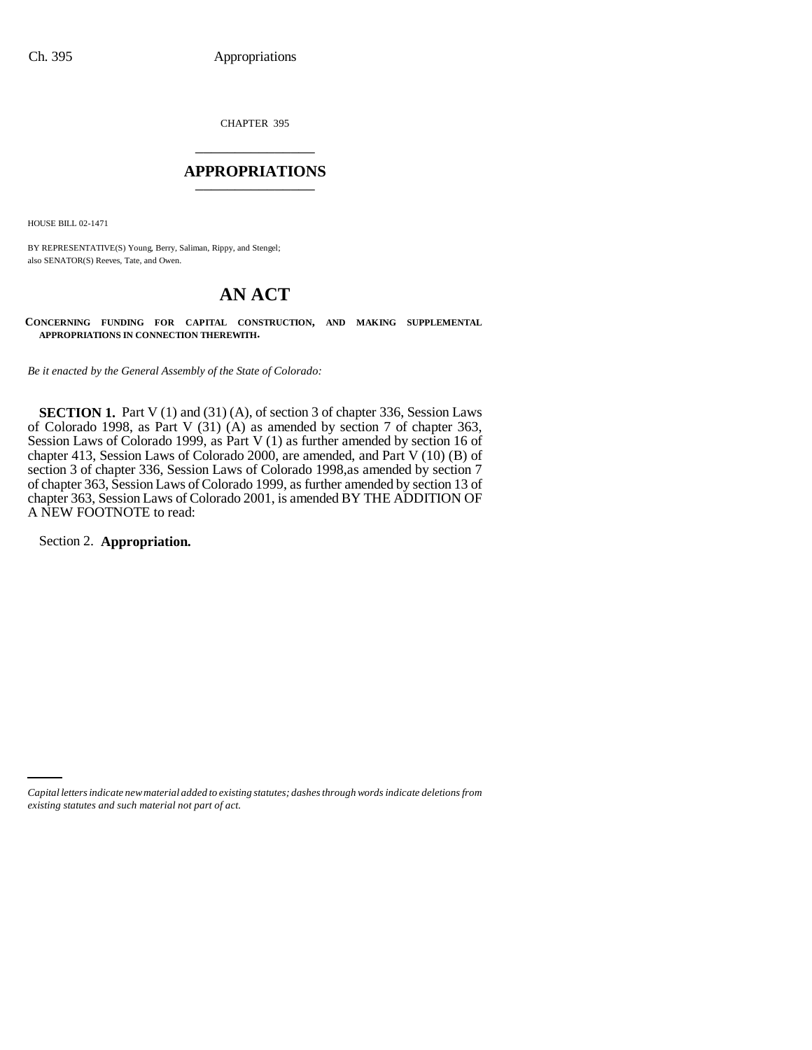CHAPTER 395 \_\_\_\_\_\_\_\_\_\_\_\_\_\_\_

#### **APPROPRIATIONS** \_\_\_\_\_\_\_\_\_\_\_\_\_\_\_

HOUSE BILL 02-1471

BY REPRESENTATIVE(S) Young, Berry, Saliman, Rippy, and Stengel; also SENATOR(S) Reeves, Tate, and Owen.

# **AN ACT**

**CONCERNING FUNDING FOR CAPITAL CONSTRUCTION, AND MAKING SUPPLEMENTAL APPROPRIATIONS IN CONNECTION THEREWITH.**

*Be it enacted by the General Assembly of the State of Colorado:*

**SECTION 1.** Part V (1) and (31) (A), of section 3 of chapter 336, Session Laws of Colorado 1998, as Part V (31) (A) as amended by section 7 of chapter 363, Session Laws of Colorado 1999, as Part V (1) as further amended by section 16 of chapter 413, Session Laws of Colorado 2000, are amended, and Part V (10) (B) of section 3 of chapter 336, Session Laws of Colorado 1998,as amended by section 7 of chapter 363, Session Laws of Colorado 1999, as further amended by section 13 of chapter 363, Session Laws of Colorado 2001, is amended BY THE ADDITION OF A NEW FOOTNOTE to read:

Section 2. **Appropriation.**

*Capital letters indicate new material added to existing statutes; dashes through words indicate deletions from existing statutes and such material not part of act.*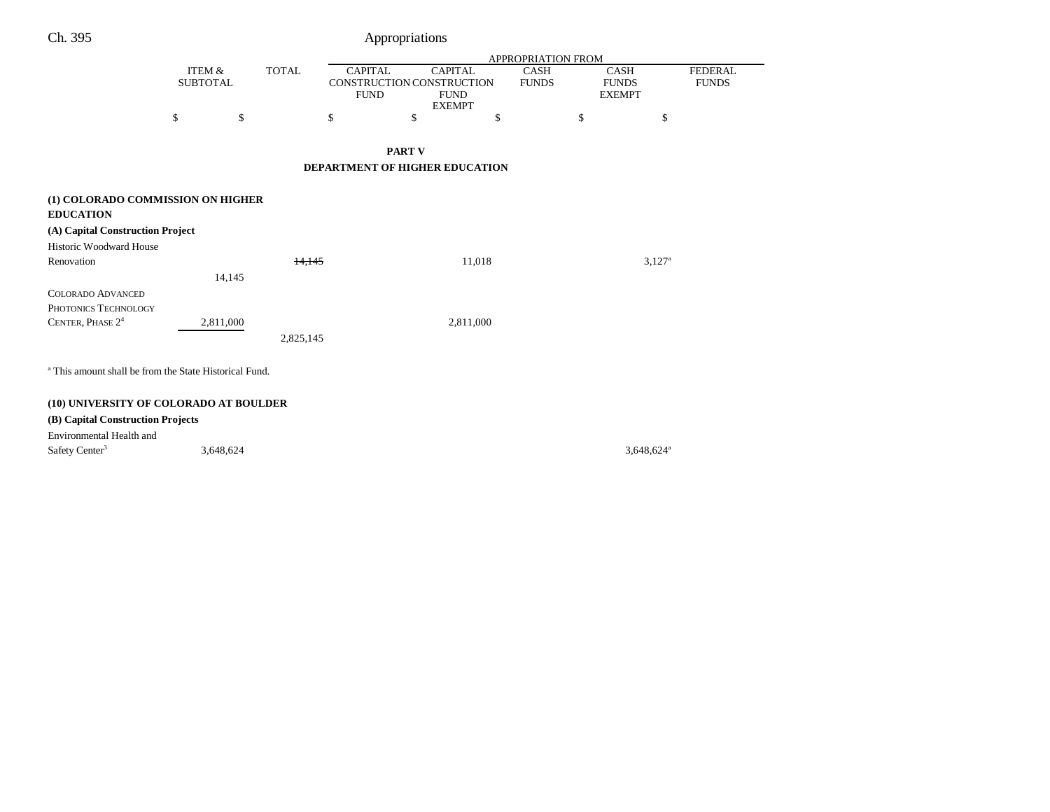## Ch. 395 Appropriations

|                                                                                           |                                      |              | <b>APPROPRIATION FROM</b>                                  |                                                |           |                      |    |                                       |                                |
|-------------------------------------------------------------------------------------------|--------------------------------------|--------------|------------------------------------------------------------|------------------------------------------------|-----------|----------------------|----|---------------------------------------|--------------------------------|
|                                                                                           | <b>ITEM &amp;</b><br><b>SUBTOTAL</b> | <b>TOTAL</b> | <b>CAPITAL</b><br>CONSTRUCTION CONSTRUCTION<br><b>FUND</b> | <b>CAPITAL</b><br><b>FUND</b><br><b>EXEMPT</b> |           | CASH<br><b>FUNDS</b> |    | CASH<br><b>FUNDS</b><br><b>EXEMPT</b> | <b>FEDERAL</b><br><b>FUNDS</b> |
|                                                                                           | \$<br>\$                             |              | \$                                                         | \$                                             | \$        |                      | \$ | \$                                    |                                |
|                                                                                           |                                      |              |                                                            | <b>PART V</b>                                  |           |                      |    |                                       |                                |
|                                                                                           |                                      |              | DEPARTMENT OF HIGHER EDUCATION                             |                                                |           |                      |    |                                       |                                |
| (1) COLORADO COMMISSION ON HIGHER<br><b>EDUCATION</b><br>(A) Capital Construction Project |                                      |              |                                                            |                                                |           |                      |    |                                       |                                |
| Historic Woodward House                                                                   |                                      |              |                                                            |                                                |           |                      |    |                                       |                                |
| Renovation                                                                                |                                      | 14.145       |                                                            |                                                | 11,018    |                      |    | $3,127^{\circ}$                       |                                |
|                                                                                           | 14,145                               |              |                                                            |                                                |           |                      |    |                                       |                                |
| <b>COLORADO ADVANCED</b><br>PHOTONICS TECHNOLOGY                                          |                                      |              |                                                            |                                                |           |                      |    |                                       |                                |
| CENTER, PHASE 24                                                                          | 2,811,000                            | 2,825,145    |                                                            |                                                | 2,811,000 |                      |    |                                       |                                |
| <sup>a</sup> This amount shall be from the State Historical Fund.                         |                                      |              |                                                            |                                                |           |                      |    |                                       |                                |
| (10) UNIVERSITY OF COLORADO AT BOULDER                                                    |                                      |              |                                                            |                                                |           |                      |    |                                       |                                |

### **(B) Capital Construction Projects**

Environmental Health and  $S<sub>3</sub>$  Safety Center<sup>3</sup> 3,648,624<sup>a</sup> 3,648,624<sup>a</sup>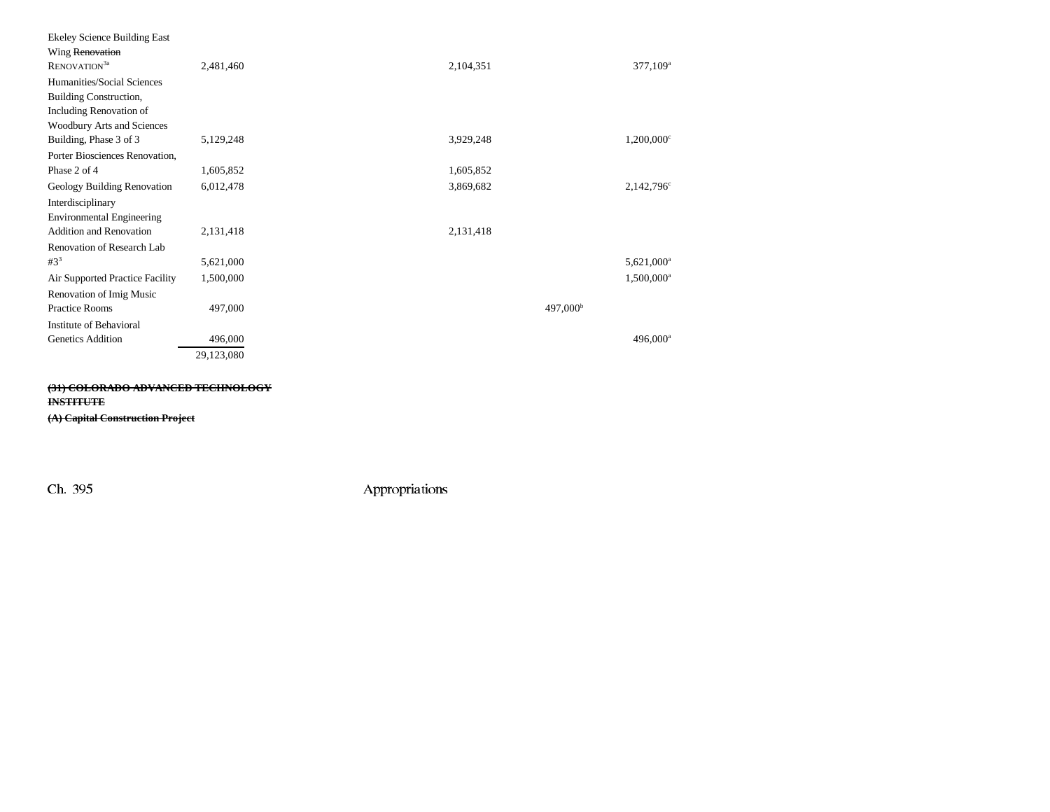| <b>Ekeley Science Building East</b> |            |                      |                          |
|-------------------------------------|------------|----------------------|--------------------------|
| Wing Renovation                     |            |                      |                          |
| RENOVATION <sup>3a</sup>            | 2,481,460  | 2,104,351            | 377,109 <sup>a</sup>     |
| Humanities/Social Sciences          |            |                      |                          |
| Building Construction,              |            |                      |                          |
| <b>Including Renovation of</b>      |            |                      |                          |
| <b>Woodbury Arts and Sciences</b>   |            |                      |                          |
| Building, Phase 3 of 3              | 5,129,248  | 3,929,248            | $1,200,000$ <sup>c</sup> |
| Porter Biosciences Renovation,      |            |                      |                          |
| Phase 2 of 4                        | 1,605,852  | 1,605,852            |                          |
| Geology Building Renovation         | 6,012,478  | 3,869,682            | $2,142,796^{\circ}$      |
| Interdisciplinary                   |            |                      |                          |
| <b>Environmental Engineering</b>    |            |                      |                          |
| Addition and Renovation             | 2,131,418  | 2,131,418            |                          |
| Renovation of Research Lab          |            |                      |                          |
| $#3^3$                              | 5,621,000  |                      | 5,621,000 <sup>a</sup>   |
| Air Supported Practice Facility     | 1,500,000  |                      | $1,500,000$ <sup>a</sup> |
| <b>Renovation of Imig Music</b>     |            |                      |                          |
| <b>Practice Rooms</b>               | 497,000    | 497,000 <sup>b</sup> |                          |
| Institute of Behavioral             |            |                      |                          |
| <b>Genetics Addition</b>            | 496,000    |                      | 496,000 <sup>a</sup>     |
|                                     | 29,123,080 |                      |                          |

**(31) COLORADO ADVANCED TECHNOLOGY INSTITUTE (A) Capital Construction Project**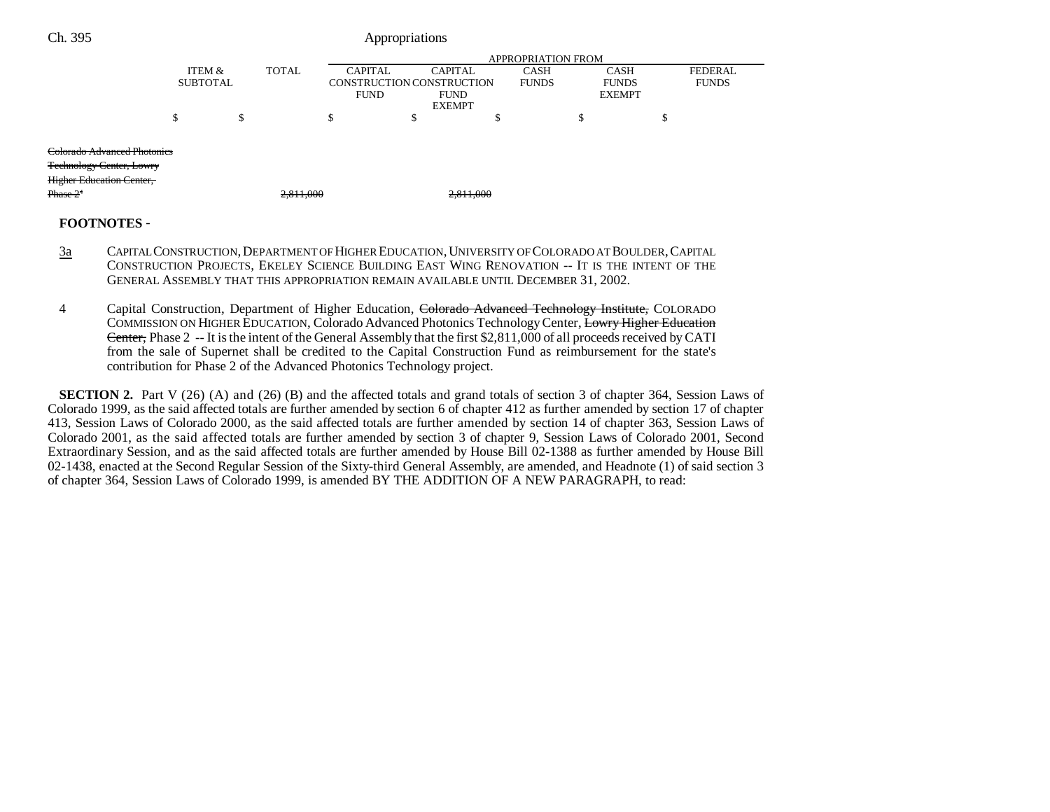| Ch. 395                            |        |                           |              |                | Appropriations            |           |              |    |               |              |                |
|------------------------------------|--------|---------------------------|--------------|----------------|---------------------------|-----------|--------------|----|---------------|--------------|----------------|
|                                    |        | <b>APPROPRIATION FROM</b> |              |                |                           |           |              |    |               |              |                |
|                                    |        | ITEM &                    | <b>TOTAL</b> | <b>CAPITAL</b> | <b>CAPITAL</b>            |           | <b>CASH</b>  |    | <b>CASH</b>   |              | <b>FEDERAL</b> |
|                                    |        | <b>SUBTOTAL</b>           |              |                | CONSTRUCTION CONSTRUCTION |           | <b>FUNDS</b> |    | <b>FUNDS</b>  | <b>FUNDS</b> |                |
|                                    |        |                           |              | <b>FUND</b>    | <b>FUND</b>               |           |              |    | <b>EXEMPT</b> |              |                |
|                                    |        |                           |              |                | <b>EXEMPT</b>             |           |              |    |               |              |                |
|                                    | ¢<br>ъ | \$                        |              | \$             | S,                        | э         |              | \$ |               | D            |                |
| <b>Colorado Advanced Photonics</b> |        |                           |              |                |                           |           |              |    |               |              |                |
| <b>Technology Center, Lowry</b>    |        |                           |              |                |                           |           |              |    |               |              |                |
| <b>Higher Education Center,</b>    |        |                           |              |                |                           |           |              |    |               |              |                |
| $Phase 2+$                         |        |                           | 2,811,000    |                |                           | 2,811,000 |              |    |               |              |                |
|                                    |        |                           |              |                |                           |           |              |    |               |              |                |

## **FOOTNOTES** -

- 3a CAPITAL CONSTRUCTION,DEPARTMENT OF HIGHER EDUCATION,UNIVERSITY OF COLORADO AT BOULDER,CAPITAL CONSTRUCTION PROJECTS, EKELEY SCIENCE BUILDING EAST WING RENOVATION -- IT IS THE INTENT OF THE GENERAL ASSEMBLY THAT THIS APPROPRIATION REMAIN AVAILABLE UNTIL DECEMBER 31, 2002.
- 4 Capital Construction, Department of Higher Education, Colorado Advanced Technology Institute, COLORADO COMMISSION ON HIGHER EDUCATION, Colorado Advanced Photonics Technology Center, Lowry Higher Education Center, Phase 2 -- It is the intent of the General Assembly that the first \$2,811,000 of all proceeds received by CATI from the sale of Supernet shall be credited to the Capital Construction Fund as reimbursement for the state's contribution for Phase 2 of the Advanced Photonics Technology project.

**SECTION 2.** Part V (26) (A) and (26) (B) and the affected totals and grand totals of section 3 of chapter 364, Session Laws of Colorado 1999, as the said affected totals are further amended by section 6 of chapter 412 as further amended by section 17 of chapter 413, Session Laws of Colorado 2000, as the said affected totals are further amended by section 14 of chapter 363, Session Laws of Colorado 2001, as the said affected totals are further amended by section 3 of chapter 9, Session Laws of Colorado 2001, Second Extraordinary Session, and as the said affected totals are further amended by House Bill 02-1388 as further amended by House Bill 02-1438, enacted at the Second Regular Session of the Sixty-third General Assembly, are amended, and Headnote (1) of said section 3 of chapter 364, Session Laws of Colorado 1999, is amended BY THE ADDITION OF A NEW PARAGRAPH, to read: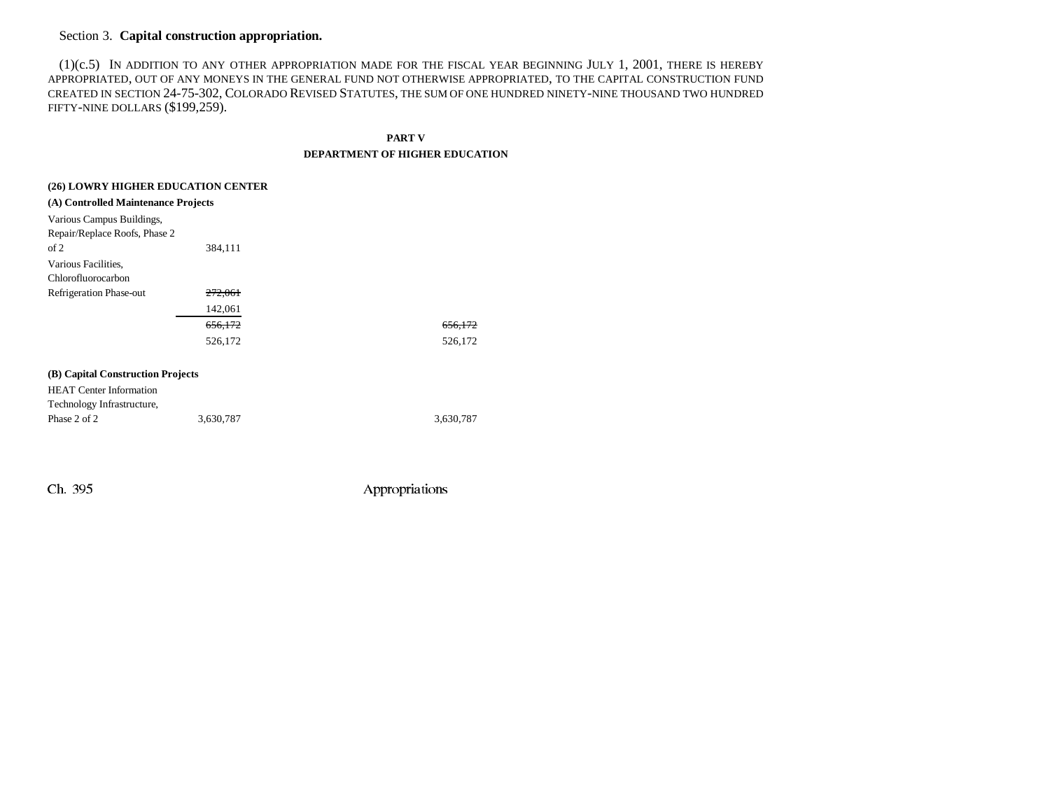### Section 3. **Capital construction appropriation.**

(1)(c.5) IN ADDITION TO ANY OTHER APPROPRIATION MADE FOR THE FISCAL YEAR BEGINNING JULY 1, 2001, THERE IS HEREBY APPROPRIATED, OUT OF ANY MONEYS IN THE GENERAL FUND NOT OTHERWISE APPROPRIATED, TO THE CAPITAL CONSTRUCTION FUND CREATED IN SECTION 24-75-302, COLORADO REVISED STATUTES, THE SUM OF ONE HUNDRED NINETY-NINE THOUSAND TWO HUNDRED FIFTY-NINE DOLLARS (\$199,259).

**PART V**

#### **DEPARTMENT OF HIGHER EDUCATION**

| (26) LOWRY HIGHER EDUCATION CENTER  |           |           |  |  |  |  |
|-------------------------------------|-----------|-----------|--|--|--|--|
| (A) Controlled Maintenance Projects |           |           |  |  |  |  |
| Various Campus Buildings,           |           |           |  |  |  |  |
| Repair/Replace Roofs, Phase 2       |           |           |  |  |  |  |
| of 2                                | 384,111   |           |  |  |  |  |
| Various Facilities,                 |           |           |  |  |  |  |
| Chlorofluorocarbon                  |           |           |  |  |  |  |
| Refrigeration Phase-out             | 272,061   |           |  |  |  |  |
|                                     | 142,061   |           |  |  |  |  |
|                                     | 656,172   | 656,172   |  |  |  |  |
|                                     | 526,172   | 526,172   |  |  |  |  |
|                                     |           |           |  |  |  |  |
| (B) Capital Construction Projects   |           |           |  |  |  |  |
| <b>HEAT</b> Center Information      |           |           |  |  |  |  |
| Technology Infrastructure,          |           |           |  |  |  |  |
| Phase 2 of 2                        | 3,630,787 | 3,630,787 |  |  |  |  |
|                                     |           |           |  |  |  |  |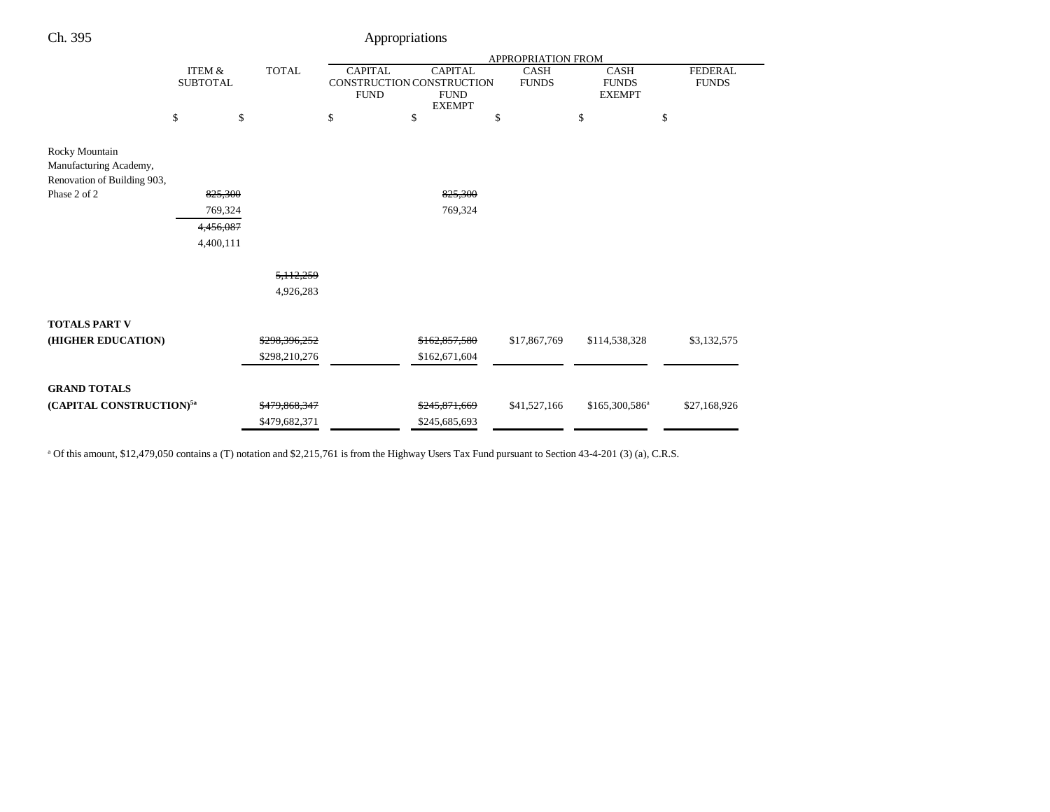| Ch. 395<br>Appropriations                                               |                                                      |                    |               |                                                                                                                                             |               |              |                                              |                                |  |
|-------------------------------------------------------------------------|------------------------------------------------------|--------------------|---------------|---------------------------------------------------------------------------------------------------------------------------------------------|---------------|--------------|----------------------------------------------|--------------------------------|--|
|                                                                         |                                                      | APPROPRIATION FROM |               |                                                                                                                                             |               |              |                                              |                                |  |
|                                                                         | <b>ITEM &amp;</b><br><b>TOTAL</b><br><b>SUBTOTAL</b> |                    |               | <b>CAPITAL</b><br><b>CAPITAL</b><br><b>CASH</b><br>CONSTRUCTION CONSTRUCTION<br><b>FUNDS</b><br><b>FUND</b><br><b>FUND</b><br><b>EXEMPT</b> |               |              | <b>CASH</b><br><b>FUNDS</b><br><b>EXEMPT</b> | <b>FEDERAL</b><br><b>FUNDS</b> |  |
|                                                                         | \$                                                   | \$                 |               | \$                                                                                                                                          | \$            | \$           | \$                                           | \$                             |  |
| Rocky Mountain<br>Manufacturing Academy,<br>Renovation of Building 903, |                                                      |                    |               |                                                                                                                                             |               |              |                                              |                                |  |
| Phase 2 of 2                                                            |                                                      | 825,300            |               |                                                                                                                                             | 825,300       |              |                                              |                                |  |
|                                                                         |                                                      | 769,324            |               |                                                                                                                                             | 769,324       |              |                                              |                                |  |
|                                                                         |                                                      | 4,456,087          |               |                                                                                                                                             |               |              |                                              |                                |  |
|                                                                         |                                                      | 4,400,111          |               |                                                                                                                                             |               |              |                                              |                                |  |
|                                                                         |                                                      |                    | 5, 112, 259   |                                                                                                                                             |               |              |                                              |                                |  |
|                                                                         |                                                      |                    | 4,926,283     |                                                                                                                                             |               |              |                                              |                                |  |
| <b>TOTALS PART V</b>                                                    |                                                      |                    |               |                                                                                                                                             |               |              |                                              |                                |  |
| (HIGHER EDUCATION)                                                      |                                                      |                    | \$298,396,252 |                                                                                                                                             | \$162,857,580 | \$17,867,769 | \$114,538,328                                | \$3,132,575                    |  |
|                                                                         |                                                      |                    | \$298,210,276 |                                                                                                                                             | \$162,671,604 |              |                                              |                                |  |
| <b>GRAND TOTALS</b>                                                     |                                                      |                    |               |                                                                                                                                             |               |              |                                              |                                |  |
| (CAPITAL CONSTRUCTION) <sup>5a</sup>                                    |                                                      |                    | \$479,868,347 |                                                                                                                                             | \$245,871,669 | \$41,527,166 | \$165,300,586 <sup>a</sup>                   | \$27,168,926                   |  |
|                                                                         |                                                      |                    | \$479,682,371 |                                                                                                                                             | \$245,685,693 |              |                                              |                                |  |

<sup>a</sup> Of this amount, \$12,479,050 contains a (T) notation and \$2,215,761 is from the Highway Users Tax Fund pursuant to Section 43-4-201 (3) (a), C.R.S.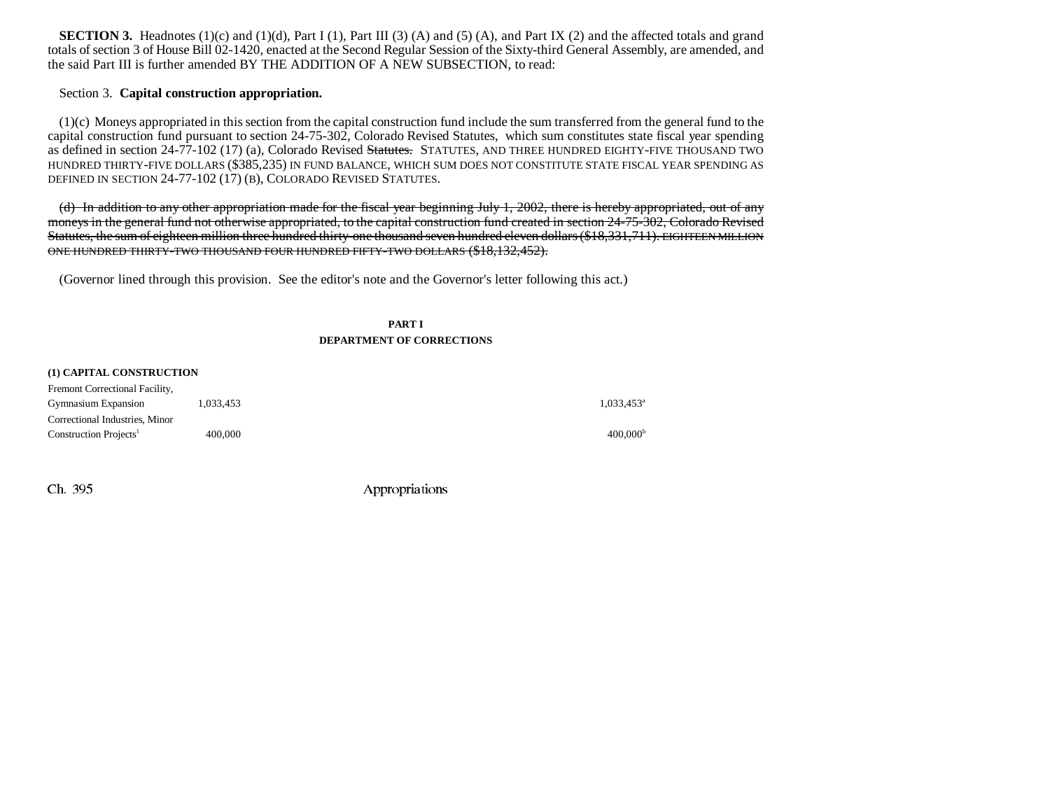**SECTION 3.** Headnotes (1)(c) and (1)(d), Part I (1), Part III (3) (A) and (5) (A), and Part IX (2) and the affected totals and grand totals of section 3 of House Bill 02-1420, enacted at the Second Regular Session of the Sixty-third General Assembly, are amended, and the said Part III is further amended BY THE ADDITION OF A NEW SUBSECTION, to read:

#### Section 3. **Capital construction appropriation.**

(1)(c) Moneys appropriated in this section from the capital construction fund include the sum transferred from the general fund to the capital construction fund pursuant to section 24-75-302, Colorado Revised Statutes, which sum constitutes state fiscal year spending as defined in section 24-77-102 (17) (a), Colorado Revised Statutes. STATUTES, AND THREE HUNDRED EIGHTY-FIVE THOUSAND TWO HUNDRED THIRTY-FIVE DOLLARS (\$385,235) IN FUND BALANCE, WHICH SUM DOES NOT CONSTITUTE STATE FISCAL YEAR SPENDING AS DEFINED IN SECTION 24-77-102 (17) (B), COLORADO REVISED STATUTES.

(d) In addition to any other appropriation made for the fiscal year beginning July 1, 2002, there is hereby appropriated, out of any moneys in the general fund not otherwise appropriated, to the capital construction fund created in section 24-75-302, Colorado Revised Statutes, the sum of eighteen million three hundred thirty-one thousand seven hundred eleven dollars (\$18,331,711). EIGHTEEN MILLION ONE HUNDRED THIRTY-TWO THOUSAND FOUR HUNDRED FIFTY-TWO DOLLARS (\$18,132,452).

(Governor lined through this provision. See the editor's note and the Governor's letter following this act.)

#### **PART I DEPARTMENT OF CORRECTIONS**

#### **(1) CAPITAL CONSTRUCTION**

| Fremont Correctional Facility,     |           |                      |
|------------------------------------|-----------|----------------------|
| <b>Gymnasium Expansion</b>         | 1,033,453 | $1.033.453^a$        |
| Correctional Industries, Minor     |           |                      |
| Construction Projects <sup>1</sup> | 400,000   | 400.000 <sup>b</sup> |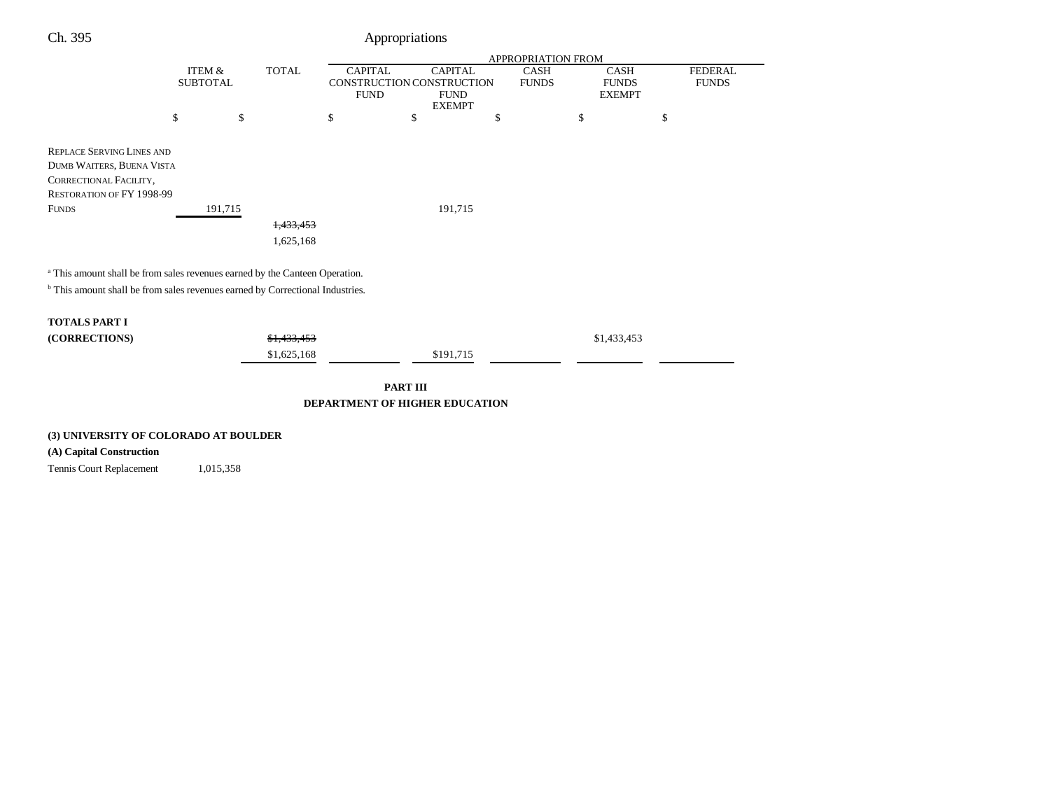## Ch. 395 Appropriations

|                                                                                          |                 |              | APPROPRIATION FROM |                           |              |               |                |  |
|------------------------------------------------------------------------------------------|-----------------|--------------|--------------------|---------------------------|--------------|---------------|----------------|--|
|                                                                                          | ITEM &          | <b>TOTAL</b> | <b>CAPITAL</b>     | <b>CAPITAL</b>            | CASH         | <b>CASH</b>   | <b>FEDERAL</b> |  |
|                                                                                          | <b>SUBTOTAL</b> |              |                    | CONSTRUCTION CONSTRUCTION | <b>FUNDS</b> | <b>FUNDS</b>  | <b>FUNDS</b>   |  |
|                                                                                          |                 |              | <b>FUND</b>        | <b>FUND</b>               |              | <b>EXEMPT</b> |                |  |
|                                                                                          |                 |              |                    | <b>EXEMPT</b>             |              |               |                |  |
|                                                                                          | \$<br>\$        |              | \$                 | \$                        | \$           | \$            | \$             |  |
|                                                                                          |                 |              |                    |                           |              |               |                |  |
| <b>REPLACE SERVING LINES AND</b>                                                         |                 |              |                    |                           |              |               |                |  |
| <b>DUMB WAITERS, BUENA VISTA</b>                                                         |                 |              |                    |                           |              |               |                |  |
| CORRECTIONAL FACILITY,                                                                   |                 |              |                    |                           |              |               |                |  |
| RESTORATION OF FY 1998-99                                                                |                 |              |                    |                           |              |               |                |  |
| <b>FUNDS</b>                                                                             | 191,715         |              |                    | 191,715                   |              |               |                |  |
|                                                                                          |                 | 1,433,453    |                    |                           |              |               |                |  |
|                                                                                          |                 | 1,625,168    |                    |                           |              |               |                |  |
|                                                                                          |                 |              |                    |                           |              |               |                |  |
|                                                                                          |                 |              |                    |                           |              |               |                |  |
| <sup>a</sup> This amount shall be from sales revenues earned by the Canteen Operation.   |                 |              |                    |                           |              |               |                |  |
| <sup>b</sup> This amount shall be from sales revenues earned by Correctional Industries. |                 |              |                    |                           |              |               |                |  |
|                                                                                          |                 |              |                    |                           |              |               |                |  |
| <b>TOTALS PART I</b>                                                                     |                 |              |                    |                           |              |               |                |  |
| (CORRECTIONS)                                                                            |                 | \$1,433,453  |                    |                           |              | \$1,433,453   |                |  |
|                                                                                          |                 |              |                    |                           |              |               |                |  |
|                                                                                          |                 | \$1,625,168  |                    | \$191,715                 |              |               |                |  |
|                                                                                          |                 |              |                    |                           |              |               |                |  |
|                                                                                          |                 |              |                    | <b>PART III</b>           |              |               |                |  |

**DEPARTMENT OF HIGHER EDUCATION**

#### **(3) UNIVERSITY OF COLORADO AT BOULDER**

## **(A) Capital Construction**

Tennis Court Replacement 1,015,358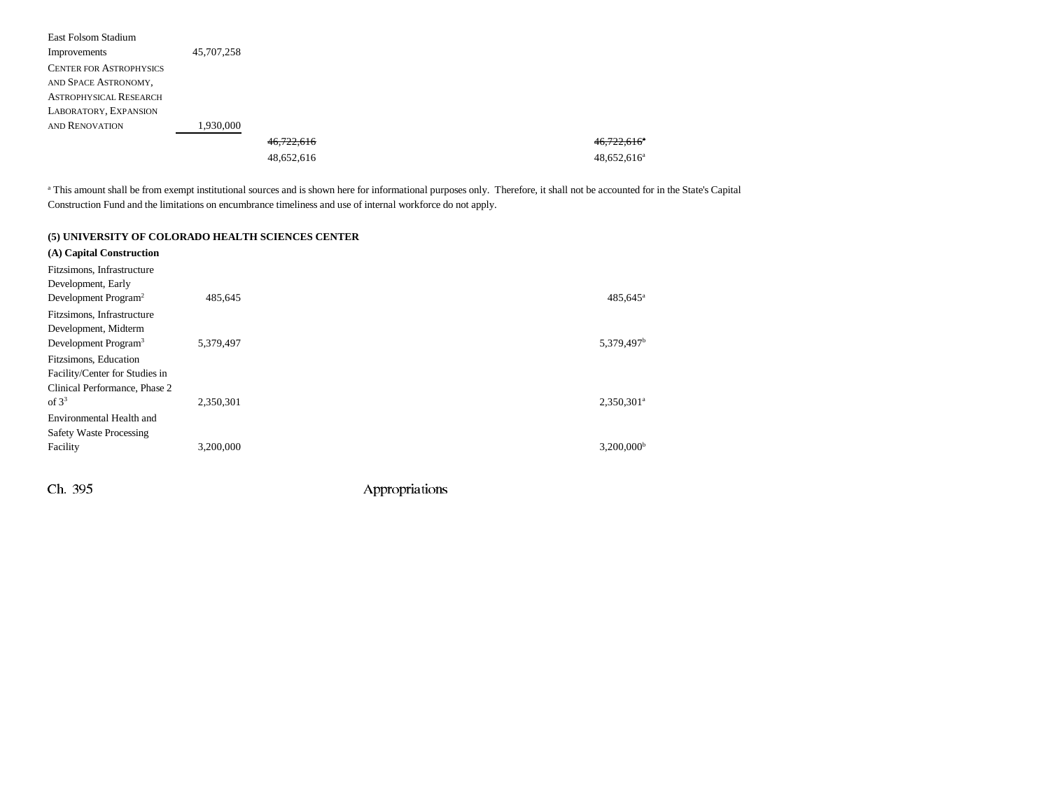| East Folsom Stadium            |            |            |                         |
|--------------------------------|------------|------------|-------------------------|
| Improvements                   | 45,707,258 |            |                         |
| <b>CENTER FOR ASTROPHYSICS</b> |            |            |                         |
| AND SPACE ASTRONOMY,           |            |            |                         |
| <b>ASTROPHYSICAL RESEARCH</b>  |            |            |                         |
| LABORATORY, EXPANSION          |            |            |                         |
| AND RENOVATION                 | 1,930,000  |            |                         |
|                                |            | 46,722,616 | 46,722,616 <sup>a</sup> |
|                                |            | 48,652,616 | $48,652,616^a$          |
|                                |            |            |                         |

<sup>a</sup> This amount shall be from exempt institutional sources and is shown here for informational purposes only. Therefore, it shall not be accounted for in the State's Capital Construction Fund and the limitations on encumbrance timeliness and use of internal workforce do not apply.

#### **(5) UNIVERSITY OF COLORADO HEALTH SCIENCES CENTER**

| (A) Capital Construction<br>Fitzsimons, Infrastructure |           |                          |
|--------------------------------------------------------|-----------|--------------------------|
| Development, Early                                     |           |                          |
| Development Program <sup>2</sup>                       | 485.645   | 485,645 <sup>a</sup>     |
| Fitzsimons, Infrastructure                             |           |                          |
| Development, Midterm                                   |           |                          |
| Development Program <sup>3</sup>                       | 5.379.497 | 5,379,497 <sup>b</sup>   |
| Fitzsimons, Education                                  |           |                          |
| Facility/Center for Studies in                         |           |                          |
| Clinical Performance, Phase 2                          |           |                          |
| of $3^3$                                               | 2,350,301 | $2,350,301$ <sup>a</sup> |
| Environmental Health and                               |           |                          |
| Safety Waste Processing                                |           |                          |
| Facility                                               | 3.200.000 | $3,200,000$ <sup>b</sup> |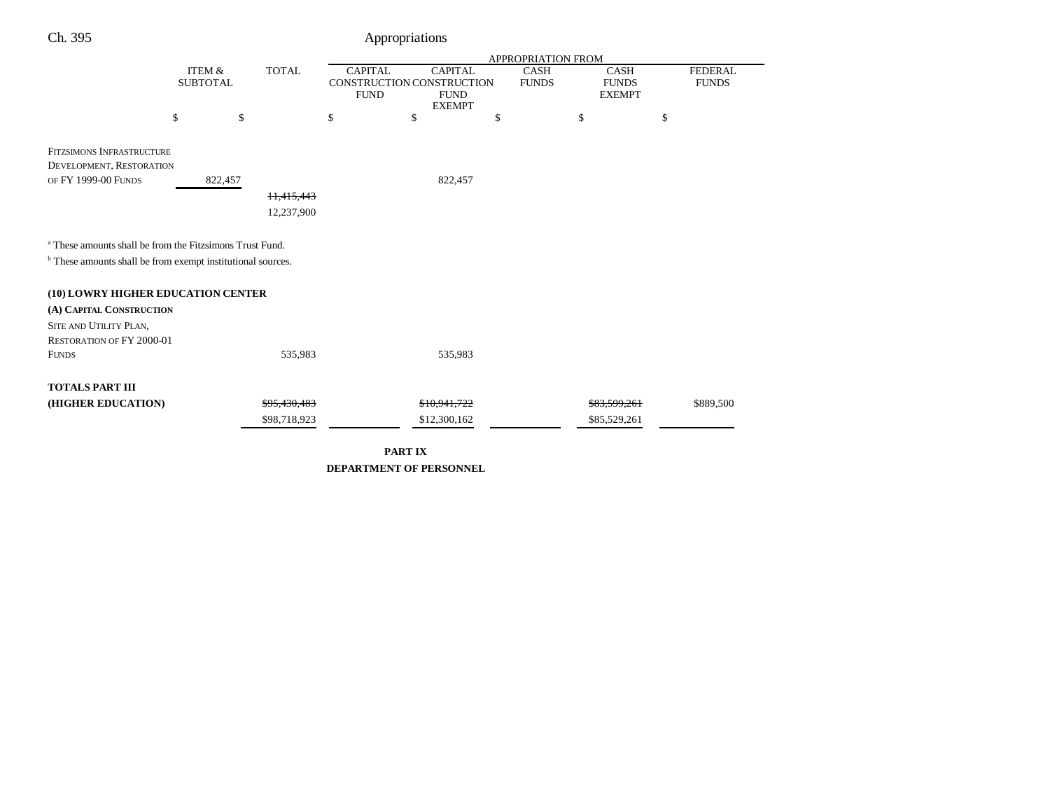| Ch. 395                                                              |                                                      |    | Appropriations                                                                                               |    |                                                                             |                                |  |  |
|----------------------------------------------------------------------|------------------------------------------------------|----|--------------------------------------------------------------------------------------------------------------|----|-----------------------------------------------------------------------------|--------------------------------|--|--|
|                                                                      |                                                      |    | APPROPRIATION FROM                                                                                           |    |                                                                             |                                |  |  |
|                                                                      | <b>ITEM &amp;</b><br><b>TOTAL</b><br><b>SUBTOTAL</b> |    | <b>CAPITAL</b><br><b>CAPITAL</b><br>CONSTRUCTION CONSTRUCTION<br><b>FUND</b><br><b>FUND</b><br><b>EXEMPT</b> |    | <b>CASH</b><br><b>CASH</b><br><b>FUNDS</b><br><b>FUNDS</b><br><b>EXEMPT</b> | <b>FEDERAL</b><br><b>FUNDS</b> |  |  |
| \$                                                                   | \$                                                   | \$ | \$                                                                                                           | \$ | \$                                                                          | \$                             |  |  |
| <b>FITZSIMONS INFRASTRUCTURE</b><br>DEVELOPMENT, RESTORATION         |                                                      |    |                                                                                                              |    |                                                                             |                                |  |  |
| OF FY 1999-00 FUNDS<br>822,457                                       |                                                      |    | 822,457                                                                                                      |    |                                                                             |                                |  |  |
|                                                                      | 11,415,443                                           |    |                                                                                                              |    |                                                                             |                                |  |  |
|                                                                      | 12,237,900                                           |    |                                                                                                              |    |                                                                             |                                |  |  |
| <sup>a</sup> These amounts shall be from the Fitzsimons Trust Fund.  |                                                      |    |                                                                                                              |    |                                                                             |                                |  |  |
| $^{\rm b}$ These amounts shall be from exempt institutional sources. |                                                      |    |                                                                                                              |    |                                                                             |                                |  |  |
| (10) LOWRY HIGHER EDUCATION CENTER                                   |                                                      |    |                                                                                                              |    |                                                                             |                                |  |  |
| (A) CAPITAL CONSTRUCTION                                             |                                                      |    |                                                                                                              |    |                                                                             |                                |  |  |
| SITE AND UTILITY PLAN,<br><b>RESTORATION OF FY 2000-01</b>           |                                                      |    |                                                                                                              |    |                                                                             |                                |  |  |
| <b>FUNDS</b>                                                         | 535,983                                              |    | 535,983                                                                                                      |    |                                                                             |                                |  |  |
| <b>TOTALS PART III</b>                                               |                                                      |    |                                                                                                              |    |                                                                             |                                |  |  |
| (HIGHER EDUCATION)                                                   | \$95,430,483                                         |    | \$10,941,722                                                                                                 |    | \$83,599,261                                                                | \$889,500                      |  |  |
|                                                                      | \$98,718,923                                         |    | \$12,300,162                                                                                                 |    | \$85,529,261                                                                |                                |  |  |

**PART IX DEPARTMENT OF PERSONNEL**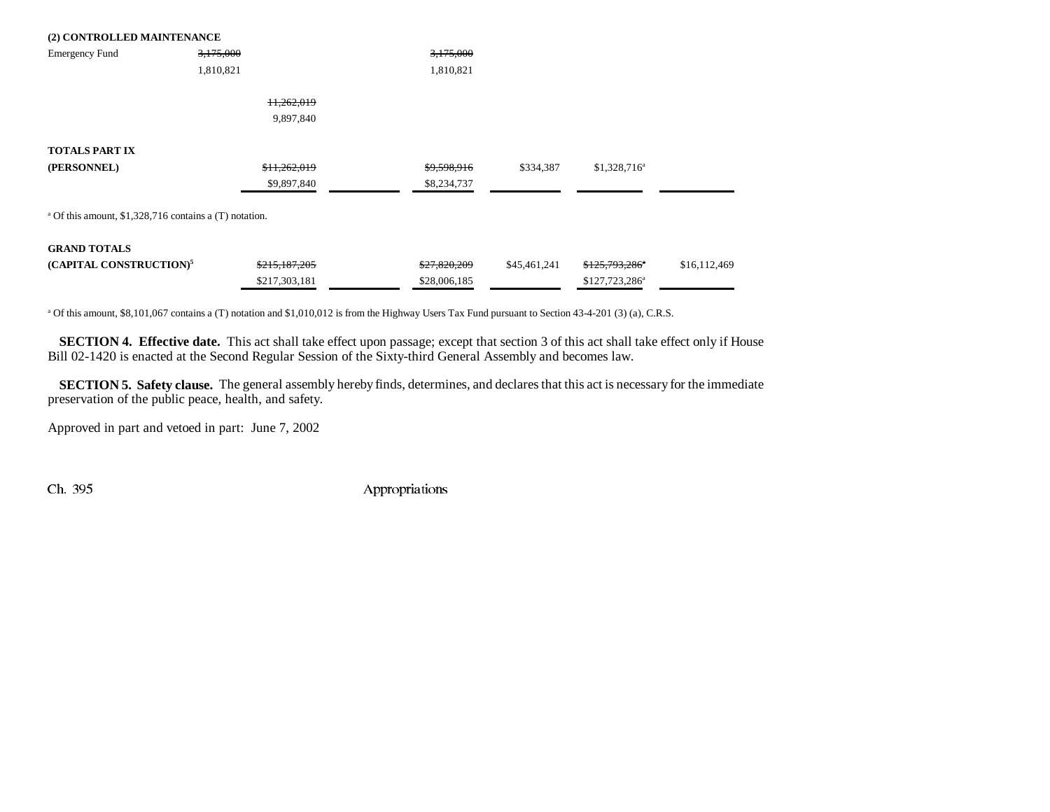| (2) CONTROLLED MAINTENANCE                                        |               |              |              |                  |              |
|-------------------------------------------------------------------|---------------|--------------|--------------|------------------|--------------|
| <b>Emergency Fund</b>                                             | 3,175,000     | 3,175,000    |              |                  |              |
|                                                                   | 1,810,821     | 1,810,821    |              |                  |              |
|                                                                   | 11,262,019    |              |              |                  |              |
|                                                                   | 9,897,840     |              |              |                  |              |
| <b>TOTALS PART IX</b>                                             |               |              |              |                  |              |
| (PERSONNEL)                                                       | \$11,262,019  | \$9,598,916  | \$334,387    | $$1,328,716^a$   |              |
|                                                                   | \$9,897,840   | \$8,234,737  |              |                  |              |
| <sup>a</sup> Of this amount, \$1,328,716 contains a (T) notation. |               |              |              |                  |              |
| <b>GRAND TOTALS</b>                                               |               |              |              |                  |              |
| (CAPITAL CONSTRUCTION) <sup>5</sup>                               | \$215,187,205 | \$27,820,209 | \$45,461,241 | \$125,793,286*   | \$16,112,469 |
|                                                                   | \$217,303,181 | \$28,006,185 |              | $$127,723,286^a$ |              |
|                                                                   |               |              |              |                  |              |

a Of this amount, \$8,101,067 contains a (T) notation and \$1,010,012 is from the Highway Users Tax Fund pursuant to Section 43-4-201 (3) (a), C.R.S.

**SECTION 4. Effective date.** This act shall take effect upon passage; except that section 3 of this act shall take effect only if House Bill 02-1420 is enacted at the Second Regular Session of the Sixty-third General Assembly and becomes law.

**SECTION 5. Safety clause.** The general assembly hereby finds, determines, and declares that this act is necessary for the immediate preservation of the public peace, health, and safety.

Approved in part and vetoed in part: June 7, 2002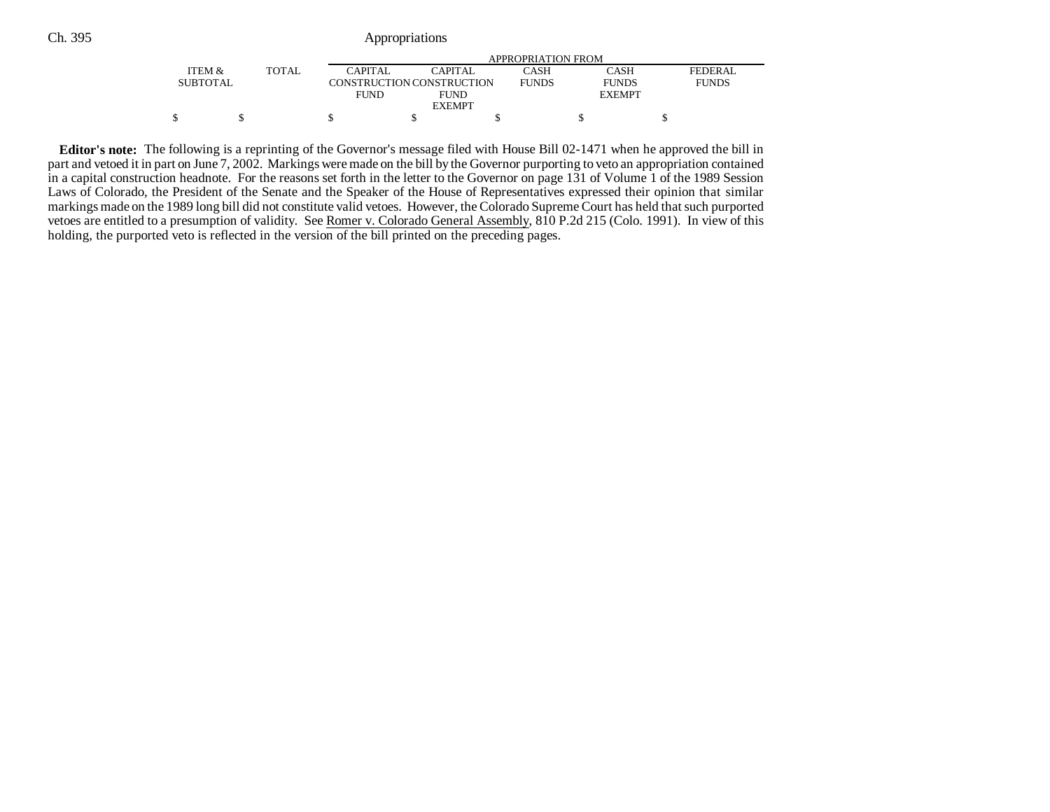## Ch. 395 Appropriations

|                   | APPROPRIATION FROM |             |                           |              |               |              |  |  |
|-------------------|--------------------|-------------|---------------------------|--------------|---------------|--------------|--|--|
| <b>ITEM &amp;</b> | <b>TOTAL</b>       | CAPITAL     | CAPITAL                   | CASH         | CASH          | FEDERAL      |  |  |
| <b>SUBTOTAL</b>   |                    |             | CONSTRUCTION CONSTRUCTION | <b>FUNDS</b> | <b>FUNDS</b>  | <b>FUNDS</b> |  |  |
|                   |                    | <b>FUND</b> | <b>FUND</b>               |              | <b>EXEMPT</b> |              |  |  |
|                   |                    |             | <b>EXEMPT</b>             |              |               |              |  |  |
|                   |                    |             |                           |              |               |              |  |  |

**Editor's note:** The following is a reprinting of the Governor's message filed with House Bill 02-1471 when he approved the bill in part and vetoed it in part on June 7, 2002. Markings were made on the bill by the Governor purporting to veto an appropriation contained in a capital construction headnote. For the reasons set forth in the letter to the Governor on page 131 of Volume 1 of the 1989 Session Laws of Colorado, the President of the Senate and the Speaker of the House of Representatives expressed their opinion that similar markings made on the 1989 long bill did not constitute valid vetoes. However, the Colorado Supreme Court has held that such purported vetoes are entitled to a presumption of validity. See Romer v. Colorado General Assembly, 810 P.2d 215 (Colo. 1991). In view of this holding, the purported veto is reflected in the version of the bill printed on the preceding pages.